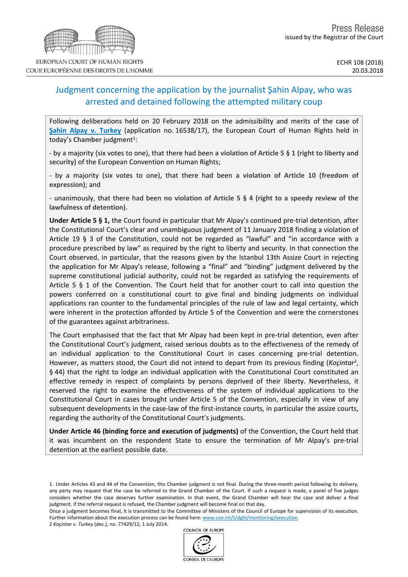# Judgment concerning the application by the journalist Şahin Alpay, who was arrested and detained following the attempted military coup

Following deliberations held on 20 February 2018 on the admissibility and merits of the case of **Şahin Alpay v. [Turkey](http://hudoc.echr.coe.int/eng?i=001-181866)** (application no. 16538/17), the European Court of Human Rights held in today's Chamber judgment<sup>1</sup>:

- by a majority (six votes to one), that there had been **a violation of Article 5 § 1 (right to liberty and security)** of the European Convention on Human Rights;

- by a majority (six votes to one), that there had been **a violation of Article 10 (freedom of expression)**; and

- unanimously, that there had been **no violation of Article 5 § 4 (right to a speedy review of the lawfulness of detention).**

**Under Article 5 § 1,** the Court found in particular that Mr Alpay's continued pre-trial detention, after the Constitutional Court's clear and unambiguous judgment of 11 January 2018 finding a violation of Article 19 § 3 of the Constitution, could not be regarded as "lawful" and "in accordance with a procedure prescribed by law" as required by the right to liberty and security. In that connection the Court observed, in particular, that the reasons given by the Istanbul 13th Assize Court in rejecting the application for Mr Alpay's release, following a "final" and "binding" judgment delivered by the supreme constitutional judicial authority, could not be regarded as satisfying the requirements of Article 5 § 1 of the Convention. The Court held that for another court to call into question the powers conferred on a constitutional court to give final and binding judgments on individual applications ran counter to the fundamental principles of the rule of law and legal certainty, which were inherent in the protection afforded by Article 5 of the Convention and were the cornerstones of the guarantees against arbitrariness.

The Court emphasised that the fact that Mr Alpay had been kept in pre-trial detention, even after the Constitutional Court's judgment, raised serious doubts as to the effectiveness of the remedy of an individual application to the Constitutional Court in cases concerning pre-trial detention. However, as matters stood, the Court did not intend to depart from its previous finding (Koçintar<sup>2</sup>, § 44) that the right to lodge an individual application with the Constitutional Court constituted an effective remedy in respect of complaints by persons deprived of their liberty. Nevertheless, it reserved the right to examine the effectiveness of the system of individual applications to the Constitutional Court in cases brought under Article 5 of the Convention, especially in view of any subsequent developments in the case-law of the first-instance courts, in particular the assize courts, regarding the authority of the Constitutional Court's judgments.

**Under Article 46 (binding force and execution of judgments)** of the Convention, the Court held that it was incumbent on the respondent State to ensure the termination of Mr Alpay's pre-trial detention at the earliest possible date.

COUNCIL OF FUROPE

2 *Koçintar v. Turkey* (dec.), no. 77429/12, 1 July 2014.





<sup>1.</sup> Under Articles 43 and 44 of the Convention, this Chamber judgment is not final. During the three-month period following its delivery, any party may request that the case be referred to the Grand Chamber of the Court. If such a request is made, a panel of five judges considers whether the case deserves further examination. In that event, the Grand Chamber will hear the case and deliver a final judgment. If the referral request is refused, the Chamber judgment will become final on that day.

Once a judgment becomes final, it is transmitted to the Committee of Ministers of the Council of Europe for supervision of its execution. Further information about the execution process can be found here: [www.coe.int/t/dghl/monitoring/execution](http://www.coe.int/t/dghl/monitoring/execution).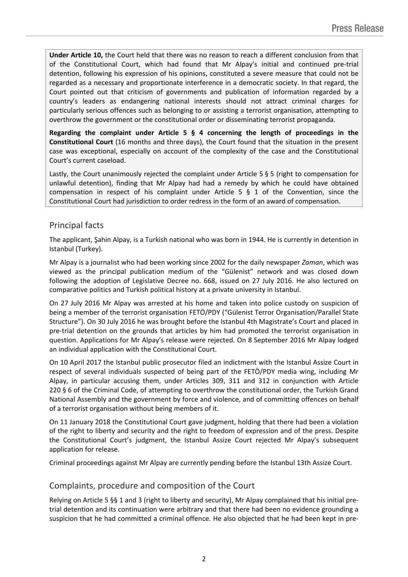**Under Article 10,** the Court held that there was no reason to reach a different conclusion from that of the Constitutional Court, which had found that Mr Alpay's initial and continued pre-trial detention, following his expression of his opinions, constituted a severe measure that could not be regarded as a necessary and proportionate interference in a democratic society. In that regard, the Court pointed out that criticism of governments and publication of information regarded by a country's leaders as endangering national interests should not attract criminal charges for particularly serious offences such as belonging to or assisting a terrorist organisation, attempting to overthrow the government or the constitutional order or disseminating terrorist propaganda.

**Regarding the complaint under Article 5 § 4 concerning the length of proceedings in the Constitutional Court** (16 months and three days), the Court found that the situation in the present case was exceptional, especially on account of the complexity of the case and the Constitutional Court's current caseload.

Lastly, the Court unanimously rejected the complaint under Article 5 § 5 (right to compensation for unlawful detention), finding that Mr Alpay had had a remedy by which he could have obtained compensation in respect of his complaint under Article 5 § 1 of the Convention, since the Constitutional Court had jurisdiction to order redress in the form of an award of compensation.

# Principal facts

The applicant, Şahin Alpay, is a Turkish national who was born in 1944. He is currently in detention in Istanbul (Turkey).

Mr Alpay is a journalist who had been working since 2002 for the daily newspaper *Zaman*, which was viewed as the principal publication medium of the "Gülenist" network and was closed down following the adoption of Legislative Decree no. 668, issued on 27 July 2016. He also lectured on comparative politics and Turkish political history at a private university in Istanbul.

On 27 July 2016 Mr Alpay was arrested at his home and taken into police custody on suspicion of being a member of the terrorist organisation FETÖ/PDY ("Gülenist Terror Organisation/Parallel State Structure"). On 30 July 2016 he was brought before the Istanbul 4th Magistrate's Court and placed in pre-trial detention on the grounds that articles by him had promoted the terrorist organisation in question. Applications for Mr Alpay's release were rejected. On 8 September 2016 Mr Alpay lodged an individual application with the Constitutional Court.

On 10 April 2017 the Istanbul public prosecutor filed an indictment with the Istanbul Assize Court in respect of several individuals suspected of being part of the FETÖ/PDY media wing, including Mr Alpay, in particular accusing them, under Articles 309, 311 and 312 in conjunction with Article 220 § 6 of the Criminal Code, of attempting to overthrow the constitutional order, the Turkish Grand National Assembly and the government by force and violence, and of committing offences on behalf of a terrorist organisation without being members of it.

On 11 January 2018 the Constitutional Court gave judgment, holding that there had been a violation of the right to liberty and security and the right to freedom of expression and of the press. Despite the Constitutional Court's judgment, the Istanbul Assize Court rejected Mr Alpay's subsequent application for release.

Criminal proceedings against Mr Alpay are currently pending before the Istanbul 13th Assize Court.

# Complaints, procedure and composition of the Court

Relying on Article 5 §§ 1 and 3 (right to liberty and security), Mr Alpay complained that his initial pretrial detention and its continuation were arbitrary and that there had been no evidence grounding a suspicion that he had committed a criminal offence. He also objected that he had been kept in pre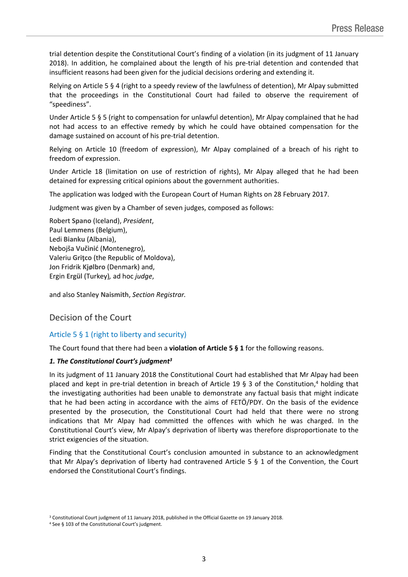trial detention despite the Constitutional Court's finding of a violation (in its judgment of 11 January 2018). In addition, he complained about the length of his pre-trial detention and contended that insufficient reasons had been given for the judicial decisions ordering and extending it.

Relying on Article 5 § 4 (right to a speedy review of the lawfulness of detention), Mr Alpay submitted that the proceedings in the Constitutional Court had failed to observe the requirement of "speediness".

Under Article 5 § 5 (right to compensation for unlawful detention), Mr Alpay complained that he had not had access to an effective remedy by which he could have obtained compensation for the damage sustained on account of his pre-trial detention.

Relying on Article 10 (freedom of expression), Mr Alpay complained of a breach of his right to freedom of expression.

Under Article 18 (limitation on use of restriction of rights), Mr Alpay alleged that he had been detained for expressing critical opinions about the government authorities.

The application was lodged with the European Court of Human Rights on 28 February 2017.

Judgment was given by a Chamber of seven judges, composed as follows:

Robert **Spano** (Iceland), *President*, Paul **Lemmens** (Belgium), Ledi **Bianku** (Albania), Nebojša **Vučinić** (Montenegro), Valeriu **Griţco** (the Republic of Moldova), Jon Fridrik **Kjølbro** (Denmark) and, Ergin **Ergül** (Turkey)*,* ad hoc *judge*,

and also Stanley **Naismith**, *Section Registrar.*

# Decision of the Court

### Article 5 § 1 (right to liberty and security)

The Court found that there had been a **violation of Article 5 § 1** for the following reasons.

#### *1. The Constitutional Court's judgment<sup>3</sup>*

In its judgment of 11 January 2018 the Constitutional Court had established that Mr Alpay had been placed and kept in pre-trial detention in breach of Article 19 § 3 of the Constitution,<sup>4</sup> holding that the investigating authorities had been unable to demonstrate any factual basis that might indicate that he had been acting in accordance with the aims of FETÖ/PDY. On the basis of the evidence presented by the prosecution, the Constitutional Court had held that there were no strong indications that Mr Alpay had committed the offences with which he was charged. In the Constitutional Court's view, Mr Alpay's deprivation of liberty was therefore disproportionate to the strict exigencies of the situation.

Finding that the Constitutional Court's conclusion amounted in substance to an acknowledgment that Mr Alpay's deprivation of liberty had contravened Article 5 § 1 of the Convention, the Court endorsed the Constitutional Court's findings.

<sup>3</sup> Constitutional Court judgment of 11 January 2018, published in the Official Gazette on 19 January 2018.

<sup>4</sup> See § 103 of the Constitutional Court's judgment.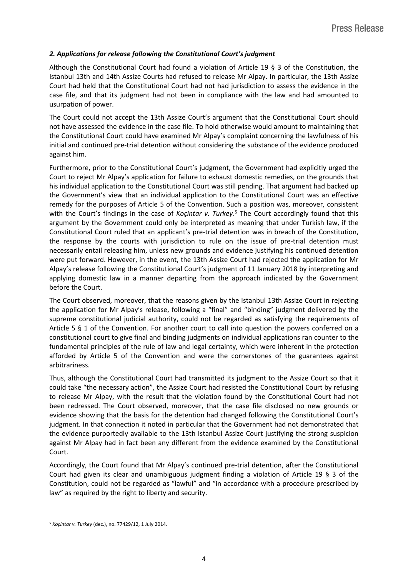### *2. Applications for release following the Constitutional Court's judgment*

Although the Constitutional Court had found a violation of Article 19 § 3 of the Constitution, the Istanbul 13th and 14th Assize Courts had refused to release Mr Alpay. In particular, the 13th Assize Court had held that the Constitutional Court had not had jurisdiction to assess the evidence in the case file, and that its judgment had not been in compliance with the law and had amounted to usurpation of power.

The Court could not accept the 13th Assize Court's argument that the Constitutional Court should not have assessed the evidence in the case file. To hold otherwise would amount to maintaining that the Constitutional Court could have examined Mr Alpay's complaint concerning the lawfulness of his initial and continued pre-trial detention without considering the substance of the evidence produced against him.

Furthermore, prior to the Constitutional Court's judgment, the Government had explicitly urged the Court to reject Mr Alpay's application for failure to exhaust domestic remedies, on the grounds that his individual application to the Constitutional Court was still pending. That argument had backed up the Government's view that an individual application to the Constitutional Court was an effective remedy for the purposes of Article 5 of the Convention. Such a position was, moreover, consistent with the Court's findings in the case of *Koçintar v. Turkey*.<sup>5</sup> The Court accordingly found that this argument by the Government could only be interpreted as meaning that under Turkish law, if the Constitutional Court ruled that an applicant's pre-trial detention was in breach of the Constitution, the response by the courts with jurisdiction to rule on the issue of pre-trial detention must necessarily entail releasing him, unless new grounds and evidence justifying his continued detention were put forward. However, in the event, the 13th Assize Court had rejected the application for Mr Alpay's release following the Constitutional Court's judgment of 11 January 2018 by interpreting and applying domestic law in a manner departing from the approach indicated by the Government before the Court.

The Court observed, moreover, that the reasons given by the Istanbul 13th Assize Court in rejecting the application for Mr Alpay's release, following a "final" and "binding" judgment delivered by the supreme constitutional judicial authority, could not be regarded as satisfying the requirements of Article 5 § 1 of the Convention. For another court to call into question the powers conferred on a constitutional court to give final and binding judgments on individual applications ran counter to the fundamental principles of the rule of law and legal certainty, which were inherent in the protection afforded by Article 5 of the Convention and were the cornerstones of the guarantees against arbitrariness.

Thus, although the Constitutional Court had transmitted its judgment to the Assize Court so that it could take "the necessary action", the Assize Court had resisted the Constitutional Court by refusing to release Mr Alpay, with the result that the violation found by the Constitutional Court had not been redressed. The Court observed, moreover, that the case file disclosed no new grounds or evidence showing that the basis for the detention had changed following the Constitutional Court's judgment. In that connection it noted in particular that the Government had not demonstrated that the evidence purportedly available to the 13th Istanbul Assize Court justifying the strong suspicion against Mr Alpay had in fact been any different from the evidence examined by the Constitutional Court.

Accordingly, the Court found that Mr Alpay's continued pre-trial detention, after the Constitutional Court had given its clear and unambiguous judgment finding a violation of Article 19 § 3 of the Constitution, could not be regarded as "lawful" and "in accordance with a procedure prescribed by law" as required by the right to liberty and security.

<sup>5</sup> *Koçintar v. Turkey* (dec.), no. 77429/12, 1 July 2014.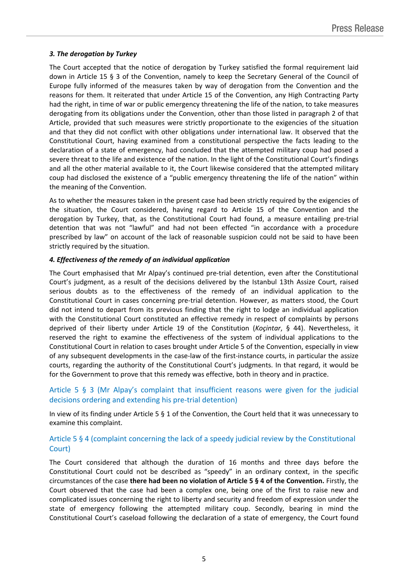### *3. The derogation by Turkey*

The Court accepted that the notice of derogation by Turkey satisfied the formal requirement laid down in Article 15 § 3 of the Convention, namely to keep the Secretary General of the Council of Europe fully informed of the measures taken by way of derogation from the Convention and the reasons for them. It reiterated that under Article 15 of the Convention, any High Contracting Party had the right, in time of war or public emergency threatening the life of the nation, to take measures derogating from its obligations under the Convention, other than those listed in paragraph 2 of that Article, provided that such measures were strictly proportionate to the exigencies of the situation and that they did not conflict with other obligations under international law. It observed that the Constitutional Court, having examined from a constitutional perspective the facts leading to the declaration of a state of emergency, had concluded that the attempted military coup had posed a severe threat to the life and existence of the nation. In the light of the Constitutional Court's findings and all the other material available to it, the Court likewise considered that the attempted military coup had disclosed the existence of a "public emergency threatening the life of the nation" within the meaning of the Convention.

As to whether the measures taken in the present case had been strictly required by the exigencies of the situation, the Court considered, having regard to Article 15 of the Convention and the derogation by Turkey, that, as the Constitutional Court had found, a measure entailing pre-trial detention that was not "lawful" and had not been effected "in accordance with a procedure prescribed by law" on account of the lack of reasonable suspicion could not be said to have been strictly required by the situation.

### *4. Effectiveness of the remedy of an individual application*

The Court emphasised that Mr Alpay's continued pre-trial detention, even after the Constitutional Court's judgment, as a result of the decisions delivered by the Istanbul 13th Assize Court, raised serious doubts as to the effectiveness of the remedy of an individual application to the Constitutional Court in cases concerning pre-trial detention. However, as matters stood, the Court did not intend to depart from its previous finding that the right to lodge an individual application with the Constitutional Court constituted an effective remedy in respect of complaints by persons deprived of their liberty under Article 19 of the Constitution (*Koçintar*, § 44). Nevertheless, it reserved the right to examine the effectiveness of the system of individual applications to the Constitutional Court in relation to cases brought under Article 5 of the Convention, especially in view of any subsequent developments in the case-law of the first-instance courts, in particular the assize courts, regarding the authority of the Constitutional Court's judgments. In that regard, it would be for the Government to prove that this remedy was effective, both in theory and in practice.

# Article 5 § 3 (Mr Alpay's complaint that insufficient reasons were given for the judicial decisions ordering and extending his pre-trial detention)

In view of its finding under Article 5 § 1 of the Convention, the Court held that it was unnecessary to examine this complaint.

## Article 5 § 4 (complaint concerning the lack of a speedy judicial review by the Constitutional Court)

The Court considered that although the duration of 16 months and three days before the Constitutional Court could not be described as "speedy" in an ordinary context, in the specific circumstances of the case **there had been no violation of Article 5 § 4 of the Convention.** Firstly, the Court observed that the case had been a complex one, being one of the first to raise new and complicated issues concerning the right to liberty and security and freedom of expression under the state of emergency following the attempted military coup. Secondly, bearing in mind the Constitutional Court's caseload following the declaration of a state of emergency, the Court found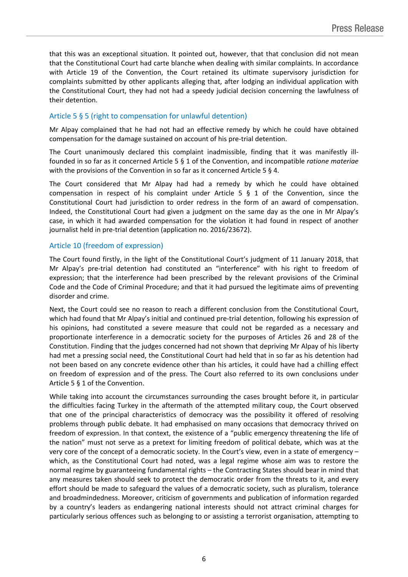that this was an exceptional situation. It pointed out, however, that that conclusion did not mean that the Constitutional Court had carte blanche when dealing with similar complaints. In accordance with Article 19 of the Convention, the Court retained its ultimate supervisory jurisdiction for complaints submitted by other applicants alleging that, after lodging an individual application with the Constitutional Court, they had not had a speedy judicial decision concerning the lawfulness of their detention.

## Article 5 § 5 (right to compensation for unlawful detention)

Mr Alpay complained that he had not had an effective remedy by which he could have obtained compensation for the damage sustained on account of his pre-trial detention.

The Court unanimously declared this complaint inadmissible, finding that it was manifestly illfounded in so far as it concerned Article 5 § 1 of the Convention, and incompatible *ratione materiae* with the provisions of the Convention in so far as it concerned Article 5 § 4.

The Court considered that Mr Alpay had had a remedy by which he could have obtained compensation in respect of his complaint under Article 5 § 1 of the Convention, since the Constitutional Court had jurisdiction to order redress in the form of an award of compensation. Indeed, the Constitutional Court had given a judgment on the same day as the one in Mr Alpay's case, in which it had awarded compensation for the violation it had found in respect of another journalist held in pre-trial detention (application no. 2016/23672).

### Article 10 (freedom of expression)

The Court found firstly, in the light of the Constitutional Court's judgment of 11 January 2018, that Mr Alpay's pre-trial detention had constituted an "interference" with his right to freedom of expression; that the interference had been prescribed by the relevant provisions of the Criminal Code and the Code of Criminal Procedure; and that it had pursued the legitimate aims of preventing disorder and crime.

Next, the Court could see no reason to reach a different conclusion from the Constitutional Court, which had found that Mr Alpay's initial and continued pre-trial detention, following his expression of his opinions, had constituted a severe measure that could not be regarded as a necessary and proportionate interference in a democratic society for the purposes of Articles 26 and 28 of the Constitution. Finding that the judges concerned had not shown that depriving Mr Alpay of his liberty had met a pressing social need, the Constitutional Court had held that in so far as his detention had not been based on any concrete evidence other than his articles, it could have had a chilling effect on freedom of expression and of the press. The Court also referred to its own conclusions under Article 5 § 1 of the Convention.

While taking into account the circumstances surrounding the cases brought before it, in particular the difficulties facing Turkey in the aftermath of the attempted military coup, the Court observed that one of the principal characteristics of democracy was the possibility it offered of resolving problems through public debate. It had emphasised on many occasions that democracy thrived on freedom of expression. In that context, the existence of a "public emergency threatening the life of the nation" must not serve as a pretext for limiting freedom of political debate, which was at the very core of the concept of a democratic society. In the Court's view, even in a state of emergency – which, as the Constitutional Court had noted, was a legal regime whose aim was to restore the normal regime by guaranteeing fundamental rights – the Contracting States should bear in mind that any measures taken should seek to protect the democratic order from the threats to it, and every effort should be made to safeguard the values of a democratic society, such as pluralism, tolerance and broadmindedness. Moreover, criticism of governments and publication of information regarded by a country's leaders as endangering national interests should not attract criminal charges for particularly serious offences such as belonging to or assisting a terrorist organisation, attempting to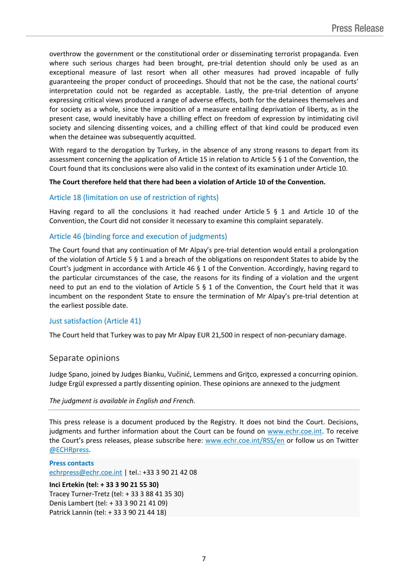overthrow the government or the constitutional order or disseminating terrorist propaganda. Even where such serious charges had been brought, pre-trial detention should only be used as an exceptional measure of last resort when all other measures had proved incapable of fully guaranteeing the proper conduct of proceedings. Should that not be the case, the national courts' interpretation could not be regarded as acceptable. Lastly, the pre-trial detention of anyone expressing critical views produced a range of adverse effects, both for the detainees themselves and for society as a whole, since the imposition of a measure entailing deprivation of liberty, as in the present case, would inevitably have a chilling effect on freedom of expression by intimidating civil society and silencing dissenting voices, and a chilling effect of that kind could be produced even when the detainee was subsequently acquitted.

With regard to the derogation by Turkey, in the absence of any strong reasons to depart from its assessment concerning the application of Article 15 in relation to Article 5 § 1 of the Convention, the Court found that its conclusions were also valid in the context of its examination under Article 10.

#### **The Court therefore held that there had been a violation of Article 10 of the Convention.**

### Article 18 (limitation on use of restriction of rights)

Having regard to all the conclusions it had reached under Article 5 § 1 and Article 10 of the Convention, the Court did not consider it necessary to examine this complaint separately.

### Article 46 (binding force and execution of judgments)

The Court found that any continuation of Mr Alpay's pre-trial detention would entail a prolongation of the violation of Article 5 § 1 and a breach of the obligations on respondent States to abide by the Court's judgment in accordance with Article 46 § 1 of the Convention. Accordingly, having regard to the particular circumstances of the case, the reasons for its finding of a violation and the urgent need to put an end to the violation of Article 5 § 1 of the Convention, the Court held that it was incumbent on the respondent State to ensure the termination of Mr Alpay's pre-trial detention at the earliest possible date.

### Just satisfaction (Article 41)

The Court held that Turkey was to pay Mr Alpay EUR 21,500 in respect of non-pecuniary damage.

#### Separate opinions

Judge Spano, joined by Judges Bianku, Vučinić, Lemmens and Griţco, expressed a concurring opinion. Judge Ergül expressed a partly dissenting opinion. These opinions are annexed to the judgment

*The judgment is available in English and French.*

This press release is a document produced by the Registry. It does not bind the Court. Decisions, judgments and further information about the Court can be found on [www.echr.coe.int](http://www.echr.coe.int/). To receive the Court's press releases, please subscribe here: [www.echr.coe.int/RSS/en](http://www.echr.coe.int/RSS/en) or follow us on Twitter [@ECHRpress.](https://twitter.com/ECHR_Press)

**Press contacts** [echrpress@echr.coe.int](mailto:Echrpress@echr.coe.int) | tel.: +33 3 90 21 42 08

**Inci Ertekin (tel: + 33 3 90 21 55 30)** Tracey Turner-Tretz (tel: + 33 3 88 41 35 30) Denis Lambert (tel: + 33 3 90 21 41 09) Patrick Lannin (tel: + 33 3 90 21 44 18)